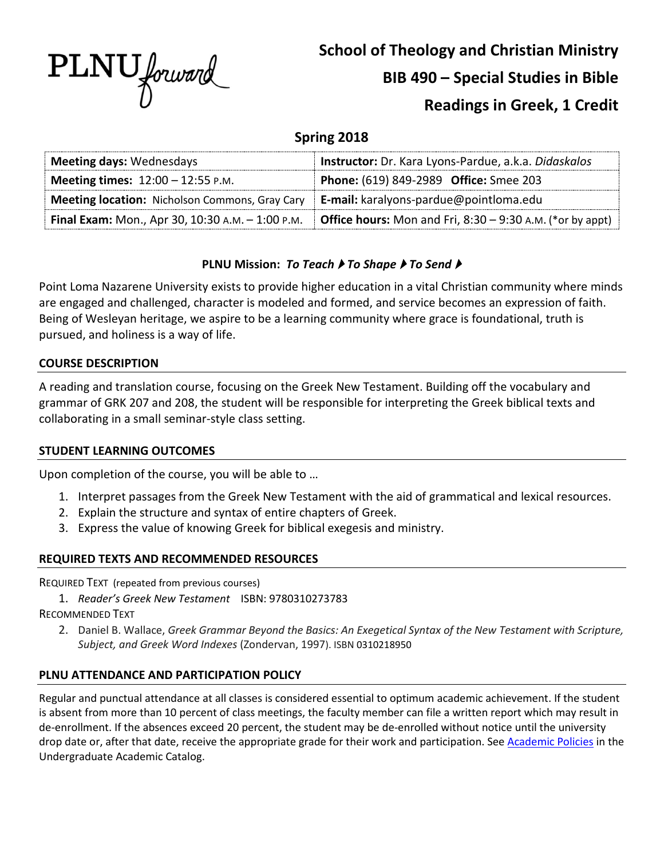

# **School of Theology and Christian Ministry**

# **BIB 490 – Special Studies in Bible**

# **Readings in Greek, 1 Credit**

# **Spring 2018**

| <b>Meeting days: Wednesdays</b>                                                                | Instructor: Dr. Kara Lyons-Pardue, a.k.a. Didaskalos                                                                     |
|------------------------------------------------------------------------------------------------|--------------------------------------------------------------------------------------------------------------------------|
| <b>Meeting times:</b> $12:00 - 12:55 P.M.$                                                     | Phone: (619) 849-2989 Office: Smee 203                                                                                   |
| <b>Meeting location:</b> Nicholson Commons, Gray Cary   E-mail: karalyons-pardue@pointloma.edu |                                                                                                                          |
|                                                                                                | <b>Final Exam:</b> Mon., Apr 30, 10:30 A.M. - 1:00 P.M. <b>Office hours:</b> Mon and Fri, 8:30 – 9:30 A.M. (*or by appt) |

# **PLNU Mission:** *To Teach ▶ To Shape ▶ To Send ▶*

Point Loma Nazarene University exists to provide higher education in a vital Christian community where minds are engaged and challenged, character is modeled and formed, and service becomes an expression of faith. Being of Wesleyan heritage, we aspire to be a learning community where grace is foundational, truth is pursued, and holiness is a way of life.

## **COURSE DESCRIPTION**

A reading and translation course, focusing on the Greek New Testament. Building off the vocabulary and grammar of GRK 207 and 208, the student will be responsible for interpreting the Greek biblical texts and collaborating in a small seminar-style class setting.

## **STUDENT LEARNING OUTCOMES**

Upon completion of the course, you will be able to …

- 1. Interpret passages from the Greek New Testament with the aid of grammatical and lexical resources.
- 2. Explain the structure and syntax of entire chapters of Greek.
- 3. Express the value of knowing Greek for biblical exegesis and ministry.

## **REQUIRED TEXTS AND RECOMMENDED RESOURCES**

REQUIRED TEXT (repeated from previous courses)

1. *Reader's Greek New Testament* ISBN: 9780310273783

RECOMMENDED TEXT

2. Daniel B. Wallace, *Greek Grammar Beyond the Basics: An Exegetical Syntax of the New Testament with Scripture, Subject, and Greek Word Indexes* (Zondervan, 1997). ISBN 0310218950

# **PLNU ATTENDANCE AND PARTICIPATION POLICY**

Regular and punctual attendance at all classes is considered essential to optimum academic achievement. If the student is absent from more than 10 percent of class meetings, the faculty member can file a written report which may result in de-enrollment. If the absences exceed 20 percent, the student may be de-enrolled without notice until the university drop date or, after that date, receive the appropriate grade for their work and participation. See [Academic Policies](http://catalog.pointloma.edu/content.php?catoid=18&navoid=1278) in the Undergraduate Academic Catalog.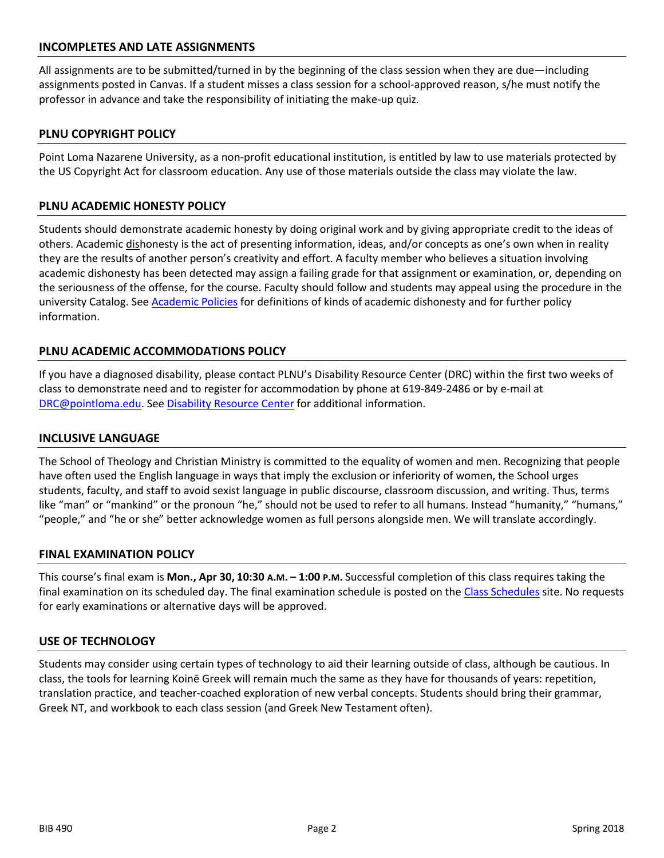#### **INCOMPLETES AND LATE ASSIGNMENTS**

All assignments are to be submitted/turned in by the beginning of the class session when they are due—including assignments posted in Canvas. If a student misses a class session for a school-approved reason, s/he must notify the professor in advance and take the responsibility of initiating the make-up quiz.

#### **PLNU COPYRIGHT POLICY**

Point Loma Nazarene University, as a non-profit educational institution, is entitled by law to use materials protected by the US Copyright Act for classroom education. Any use of those materials outside the class may violate the law.

#### **PLNU ACADEMIC HONESTY POLICY**

Students should demonstrate academic honesty by doing original work and by giving appropriate credit to the ideas of others. Academic dishonesty is the act of presenting information, ideas, and/or concepts as one's own when in reality they are the results of another person's creativity and effort. A faculty member who believes a situation involving academic dishonesty has been detected may assign a failing grade for that assignment or examination, or, depending on the seriousness of the offense, for the course. Faculty should follow and students may appeal using the procedure in the university Catalog. Se[e Academic Policies](http://catalog.pointloma.edu/content.php?catoid=18&navoid=1278) for definitions of kinds of academic dishonesty and for further policy information.

#### **PLNU ACADEMIC ACCOMMODATIONS POLICY**

If you have a diagnosed disability, please contact PLNU's Disability Resource Center (DRC) within the first two weeks of class to demonstrate need and to register for accommodation by phone at 619-849-2486 or by e-mail at [DRC@pointloma.edu.](mailto:DRC@pointloma.edu) See [Disability Resource Center](http://www.pointloma.edu/experience/offices/administrative-offices/academic-advising-office/disability-resource-center) for additional information.

#### **INCLUSIVE LANGUAGE**

The School of Theology and Christian Ministry is committed to the equality of women and men. Recognizing that people have often used the English language in ways that imply the exclusion or inferiority of women, the School urges students, faculty, and staff to avoid sexist language in public discourse, classroom discussion, and writing. Thus, terms like "man" or "mankind" or the pronoun "he," should not be used to refer to all humans. Instead "humanity," "humans," "people," and "he or she" better acknowledge women as full persons alongside men. We will translate accordingly.

#### **FINAL EXAMINATION POLICY**

This course's final exam is **Mon., Apr 30, 10:30 A.M. – 1:00 P.M.** Successful completion of this class requires taking the final examination on its scheduled day. The final examination schedule is posted on the [Class Schedules](http://www.pointloma.edu/experience/academics/class-schedules) site. No requests for early examinations or alternative days will be approved.

#### **USE OF TECHNOLOGY**

Students may consider using certain types of technology to aid their learning outside of class, although be cautious. In class, the tools for learning Koinē Greek will remain much the same as they have for thousands of years: repetition, translation practice, and teacher-coached exploration of new verbal concepts. Students should bring their grammar, Greek NT, and workbook to each class session (and Greek New Testament often).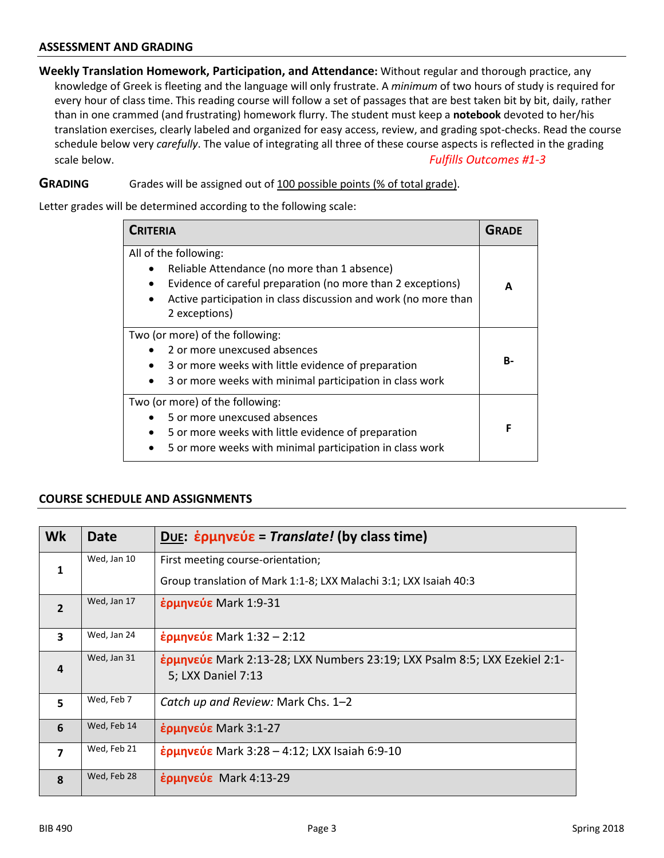#### **ASSESSMENT AND GRADING**

**Weekly Translation Homework, Participation, and Attendance:** Without regular and thorough practice, any knowledge of Greek is fleeting and the language will only frustrate. A *minimum* of two hours of study is required for every hour of class time. This reading course will follow a set of passages that are best taken bit by bit, daily, rather than in one crammed (and frustrating) homework flurry. The student must keep a **notebook** devoted to her/his translation exercises, clearly labeled and organized for easy access, review, and grading spot-checks. Read the course schedule below very *carefully*. The value of integrating all three of these course aspects is reflected in the grading scale below. *Fulfills Outcomes #1-3*

#### **GRADING** Grades will be assigned out of 100 possible points (% of total grade).

Letter grades will be determined according to the following scale:

| <b>CRITERIA</b>                                                                                                                                                                                                                       |  |  |
|---------------------------------------------------------------------------------------------------------------------------------------------------------------------------------------------------------------------------------------|--|--|
| All of the following:<br>Reliable Attendance (no more than 1 absence)<br>Evidence of careful preparation (no more than 2 exceptions)<br>$\bullet$<br>Active participation in class discussion and work (no more than<br>2 exceptions) |  |  |
| Two (or more) of the following:<br>2 or more unexcused absences<br>3 or more weeks with little evidence of preparation<br>$\bullet$<br>3 or more weeks with minimal participation in class work                                       |  |  |
| Two (or more) of the following:<br>5 or more unexcused absences<br>5 or more weeks with little evidence of preparation<br>5 or more weeks with minimal participation in class work                                                    |  |  |

#### **COURSE SCHEDULE AND ASSIGNMENTS**

| Wk                      | <b>Date</b> | DUE: $\dot{\epsilon}$ ρμηνεύε = Translate! (by class time)                                      |
|-------------------------|-------------|-------------------------------------------------------------------------------------------------|
| $\mathbf{1}$            | Wed, Jan 10 | First meeting course-orientation;                                                               |
|                         |             | Group translation of Mark 1:1-8; LXX Malachi 3:1; LXX Isaiah 40:3                               |
| $\overline{2}$          | Wed, Jan 17 | έρμηνεύε Mark 1:9-31                                                                            |
| $\overline{\mathbf{3}}$ | Wed, Jan 24 | $\frac{1}{2}$ ερμηνεύε Mark 1:32 – 2:12                                                         |
| $\overline{a}$          | Wed, Jan 31 | ερμηνεύε Mark 2:13-28; LXX Numbers 23:19; LXX Psalm 8:5; LXX Ezekiel 2:1-<br>5; LXX Daniel 7:13 |
| 5                       | Wed, Feb 7  | Catch up and Review: Mark Chs. 1-2                                                              |
| 6                       | Wed, Feb 14 | $\frac{1}{2}$ ερμηνεύε Mark 3:1-27                                                              |
| $\overline{\mathbf{z}}$ | Wed, Feb 21 | $\frac{1}{2}$ ερμηνεύε Mark 3:28 – 4:12; LXX Isaiah 6:9-10                                      |
| $\mathbf{g}$            | Wed, Feb 28 | έρμηνεύε Mark 4:13-29                                                                           |